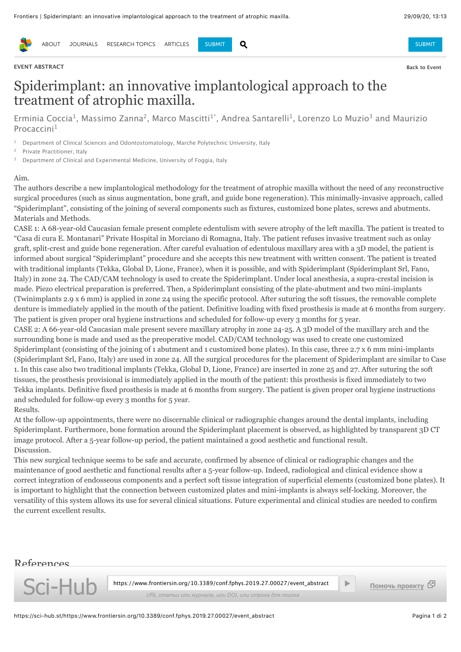

[ABOUT](https://www.frontiersin.org/about/about-frontiers) [JOURNALS](https://www.frontiersin.org/journals) RESEARCHITOPICS [ARTICLES](https://www.frontiersin.org/articles) [SUBMIT](https://www.frontiersin.org/submission/submit) Q AND SUBMIT SUBMIT SUBMIT SUBMIT

### **EVENT ABSTRACT [Back to Event](https://sci-hub.st/https://www.frontiersin.org/10.3389/conf.fphys.2019.27.00027/event_abstract/javascript:__doPostBack()**

# Spiderimplant: an innovative implantological approach to the treatment of atrophic maxilla.

[Erminia Coccia](https://sci-hub.st/https://www.frontiersin.org/people/ErminiaCoccia/441444)<sup>1</sup>, Massimo Zanna<sup>2</sup>, Marco Mascitti<sup>1\*</sup>, Andrea Santarelli<sup>1</sup>, Lorenzo Lo Muzio<sup>3</sup> and Maurizio Procaccini<sup>1</sup>

<sup>1</sup> Department of Clinical Sciences and Odontostomatology, Marche Polytechnic University, Italy

Private Practitioner, Italy

<sup>3</sup> Department of Clinical and Experimental Medicine, University of Foggia, Italy

#### Aim.

The authors describe a new implantological methodology for the treatment of atrophic maxilla without the need of any reconstructive surgical procedures (such as sinus augmentation, bone graft, and guide bone regeneration). This minimally-invasive approach, called "Spiderimplant", consisting of the joining of several components such as fixtures, customized bone plates, screws and abutments. Materials and Methods.

CASE 1: A 68-year-old Caucasian female present complete edentulism with severe atrophy of the left maxilla. The patient is treated to "Casa di cura E. Montanari" Private Hospital in Morciano di Romagna, Italy. The patient refuses invasive treatment such as onlay graft, split-crest and guide bone regeneration. After careful evaluation of edentulous maxillary area with a 3D model, the patient is informed about surgical "Spiderimplant" procedure and she accepts this new treatment with written consent. The patient is treated with traditional implants (Tekka, Global D, Lione, France), when it is possible, and with Spiderimplant (Spiderimplant Srl, Fano, Italy) in zone 24. The CAD/CAM technology is used to create the Spiderimplant. Under local anesthesia, a supra-crestal incision is made. Piezo electrical preparation is preferred. Then, a Spiderimplant consisting of the plate-abutment and two mini-implants (Twinimplants 2.9 x 6 mm) is applied in zone 24 using the specific protocol. After suturing the soft tissues, the removable complete denture is immediately applied in the mouth of the patient. Definitive loading with fixed prosthesis is made at 6 months from surgery. The patient is given proper oral hygiene instructions and scheduled for follow-up every 3 months for 5 year.

CASE 2: A 66-year-old Caucasian male present severe maxillary atrophy in zone 24-25. A 3D model of the maxillary arch and the surrounding bone is made and used as the preoperative model. CAD/CAM technology was used to create one customized Spiderimplant (consisting of the joining of 1 abutment and 1 customized bone plates). In this case, three 2.7 x 6 mm mini-implants (Spiderimplant Srl, Fano, Italy) are used in zone 24. All the surgical procedures for the placement of Spiderimplant are similar to Case 1. In this case also two traditional implants (Tekka, Global D, Lione, France) are inserted in zone 25 and 27. After suturing the soft tissues, the prosthesis provisional is immediately applied in the mouth of the patient: this prosthesis is fixed immediately to two Tekka implants. Definitive fixed prosthesis is made at 6 months from surgery. The patient is given proper oral hygiene instructions and scheduled for follow-up every 3 months for 5 year. Results.

At the follow-up appointments, there were no discernable clinical or radiographic changes around the dental implants, including Spiderimplant. Furthermore, bone formation around the Spiderimplant placement is observed, as highlighted by transparent 3D CT image protocol. After a 5-year follow-up period, the patient maintained a good aesthetic and functional result. Discussion.

This new surgical technique seems to be safe and accurate, confirmed by absence of clinical or radiographic changes and the maintenance of good aesthetic and functional results after a 5-year follow-up. Indeed, radiological and clinical evidence show a correct integration of endosseous components and a perfect soft tissue integration of superficial elements (customized bone plates). It is important to highlight that the connection between customized plates and mini-implants is always self-locking. Moreover, the versatility of this system allows its use for several clinical situations. Future experimental and clinical studies are needed to confirm the current excellent results.

## References

1. Zanna M, Mascitti M, Coccia E, Lo Muzio L, Santarelli A. Spider zygoma: a new implant rehabilitation technique for atrophic maxilla. [J Biol Regul Homeost](https://sci-hub.st/donate) Sci-Hub https://www.frontiersin.org/10.3389/conf.fphys.2019.27.00027/event\_abstract  $U = \bigcup_{U \in \mathcal{U}} U = \bigcup_{U \in \mathcal{U}} U$  (Del Comambu unu журнала, или DOI, или строка для поиска

▶ **Помочь проекту**

https://sci-hub.st/https://www.frontiersin.org/10.3389/conf.fphys.2019.27.00027/event\_abstract Pagina 1 di 2